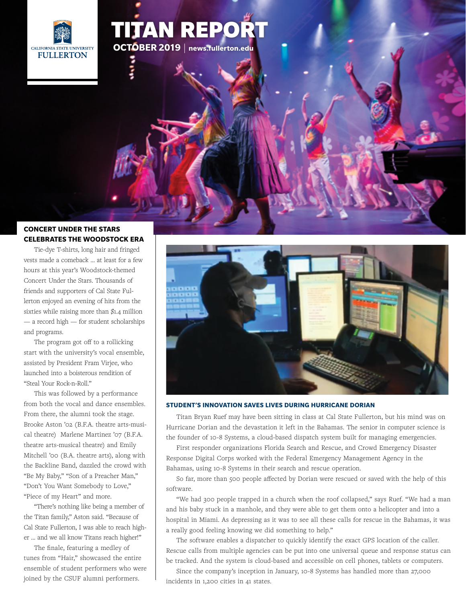

# TITAN REPOR **OCTOBER 2019** | **<news.fullerton.edu>**

## **CONCERT UNDER THE STARS [CELEBRATES THE WOODSTOCK ERA](http://news.fullerton.edu/2019su/Campus-Community-Gather-for-Concert.aspx?origin=homepage)**

Tie-dye T-shirts, long hair and fringed vests made a comeback … at least for a few hours at this year's Woodstock-themed Concert Under the Stars. Thousands of friends and supporters of Cal State Fullerton enjoyed an evening of hits from the sixties while raising more than \$1.4 million — a record high — for student scholarships and programs.

The program got off to a rollicking start with the university's vocal ensemble, assisted by President Fram Virjee, who launched into a boisterous rendition of "Steal Your Rock-n-Roll."

This was followed by a performance from both the vocal and dance ensembles. From there, the alumni took the stage. Brooke Aston '02 (B.F.A. theatre arts-musical theatre) Marlene Martinez '07 (B.F.A. theatre arts-musical theatre) and Emily Mitchell '00 (B.A. theatre arts), along with the Backline Band, dazzled the crowd with "Be My Baby," "Son of a Preacher Man," "Don't You Want Somebody to Love," "Piece of my Heart" and more.

"There's nothing like being a member of the Titan family," Aston said. "Because of Cal State Fullerton, I was able to reach higher … and we all know Titans reach higher!"

The finale, featuring a medley of tunes from "Hair," showcased the entire ensemble of student performers who were joined by the CSUF alumni performers.



#### **STUDENT'S INNOVATION SAVES LIVES DURING HURRICANE DORIAN**

Titan Bryan Ruef may have been sitting in class at Cal State Fullerton, but his mind was on Hurricane Dorian and the devastation it left in the Bahamas. The senior in computer science is the founder of 10-8 Systems, a cloud-based dispatch system built for managing emergencies.

First responder organizations Florida Search and Rescue, and Crowd Emergency Disaster Response Digital Corps worked with the Federal Emergency Management Agency in the Bahamas, using 10-8 Systems in their search and rescue operation.

So far, more than 500 people affected by Dorian were rescued or saved with the help of this software.

"We had 300 people trapped in a church when the roof collapsed," says Ruef. "We had a man and his baby stuck in a manhole, and they were able to get them onto a helicopter and into a hospital in Miami. As depressing as it was to see all these calls for rescue in the Bahamas, it was a really good feeling knowing we did something to help."

The software enables a dispatcher to quickly identify the exact GPS location of the caller. [Rescue calls from multiple agencies can be put into one universal queue and response status can](http://news.fullerton.edu/2019su/Saving-Lives-in-Hurricane-Dorian.aspx)  be tracked. And the system is cloud-based and accessible on cell phones, tablets or computers.

Since the company's inception in January, 10-8 Systems has handled more than 27,000 incidents in 1,200 cities in 41 states.